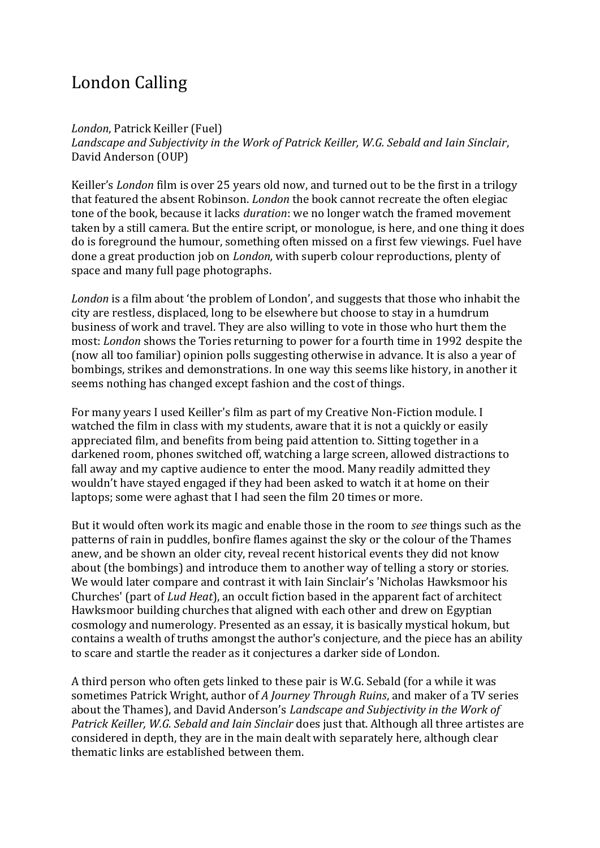## London Calling

*London*, Patrick Keiller (Fuel) *Landscape and Subjectivity in the Work of Patrick Keiller, W.G. Sebald and Iain Sinclair*, David Anderson (OUP)

Keiller's *London* film is over 25 years old now, and turned out to be the first in a trilogy that featured the absent Robinson. *London* the book cannot recreate the often elegiac tone of the book, because it lacks *duration*: we no longer watch the framed movement taken by a still camera. But the entire script, or monologue, is here, and one thing it does do is foreground the humour, something often missed on a first few viewings. Fuel have done a great production job on *London,* with superb colour reproductions, plenty of space and many full page photographs.

*London* is a film about 'the problem of London', and suggests that those who inhabit the city are restless, displaced, long to be elsewhere but choose to stay in a humdrum business of work and travel. They are also willing to vote in those who hurt them the most: *London* shows the Tories returning to power for a fourth time in 1992 despite the (now all too familiar) opinion polls suggesting otherwise in advance. It is also a year of bombings, strikes and demonstrations. In one way this seems like history, in another it seems nothing has changed except fashion and the cost of things.

For many years I used Keiller's film as part of my Creative Non-Fiction module. I watched the film in class with my students, aware that it is not a quickly or easily appreciated film, and benefits from being paid attention to. Sitting together in a darkened room, phones switched off, watching a large screen, allowed distractions to fall away and my captive audience to enter the mood. Many readily admitted they wouldn't have stayed engaged if they had been asked to watch it at home on their laptops; some were aghast that I had seen the film 20 times or more.

But it would often work its magic and enable those in the room to *see* things such as the patterns of rain in puddles, bonfire flames against the sky or the colour of the Thames anew, and be shown an older city, reveal recent historical events they did not know about (the bombings) and introduce them to another way of telling a story or stories. We would later compare and contrast it with Iain Sinclair's 'Nicholas Hawksmoor his Churches' (part of *Lud Heat*), an occult fiction based in the apparent fact of architect Hawksmoor building churches that aligned with each other and drew on Egyptian cosmology and numerology. Presented as an essay, it is basically mystical hokum, but contains a wealth of truths amongst the author's conjecture, and the piece has an ability to scare and startle the reader as it conjectures a darker side of London.

A third person who often gets linked to these pair is W.G. Sebald (for a while it was sometimes Patrick Wright, author of *A Journey Through Ruins*, and maker of a TV series about the Thames), and David Anderson's *Landscape and Subjectivity in the Work of Patrick Keiller, W.G. Sebald and Iain Sinclair* does just that. Although all three artistes are considered in depth, they are in the main dealt with separately here, although clear thematic links are established between them.